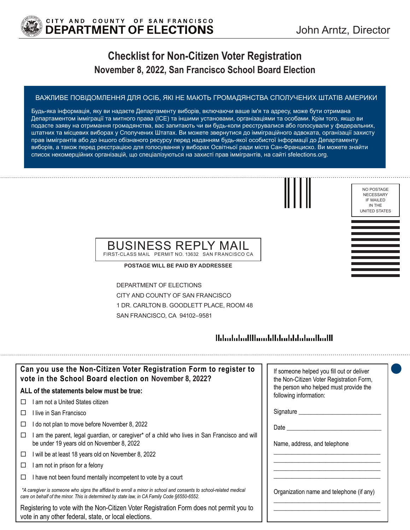

# **Checklist for Non-Citizen Voter Registration November 8, 2022, San Francisco School Board Election**

#### ВАЖЛИВЕ ПОВІДОМЛЕННЯ ДЛЯ ОСIБ, ЯКI НЕ МАЮТЬ ГРОМАДЯНСТВА СПОЛУЧЕНИХ ШТАТIВ АМЕРИКИ

Будь-яка інформація, яку ви надаєте Департаменту виборів, включаючи ваше ім'я та адресу, може бути отримана Департаментом iмміграцiї та митного права (ICE) та іншими установами, організаціями та особами. Крім того, якщо ви подасте заяву на отримання громадянства, вас запитають чи ви будь-коли реєструвалися або голосували у федеральних, штатних та місцевих виборах у Сполучених Штатах. Ви можете звернутися до імміграційного адвоката, організації захисту прав іммігрантів або до іншого обізнаного ресурсу перед наданням будь-якої особистої інформацiї до Департаменту виборів, а також перед реєстрацією для голосування у виборах Освiтньої ради мiста Сан-Франциско. Ви можете знайти список некомерційних організацій, що спеціалізуються на захисті прав іммігрантів, на сайтi sfelections.org.

NO POSTAGE NECESSARY IF MAILED IN THE UNITED STATES

### BUSINESS REPLY MAIL FIRST-CLASS MAIL PERMIT NO. 13632 SAN FRANCISCO CA

**POSTAGE WILL BE PAID BY ADDRESSEE**

DEPARTMENT OF ELECTIONS CITY AND COUNTY OF SAN FRANCISCO 1 DR. CARLTON B. GOODLETT PLACE, ROOM 48 SAN FRANCISCO, CA 94102–9581

## 

| Can you use the Non-Citizen Voter Registration Form to register to<br>vote in the School Board election on November 8, 2022?                                                                                      | If someone helped you fill out or deliver<br>the Non-Citizen Voter Registration Form, |
|-------------------------------------------------------------------------------------------------------------------------------------------------------------------------------------------------------------------|---------------------------------------------------------------------------------------|
| ALL of the statements below must be true:                                                                                                                                                                         | the person who helped must provide the<br>following information:                      |
| I am not a United States citizen                                                                                                                                                                                  |                                                                                       |
| l live in San Francisco                                                                                                                                                                                           | Signature _______                                                                     |
| do not plan to move before November 8, 2022                                                                                                                                                                       | Date                                                                                  |
| am the parent, legal guardian, or caregiver* of a child who lives in San Francisco and will<br>⊔<br>be under 19 years old on November 8, 2022                                                                     | Name, address, and telephone                                                          |
| I will be at least 18 years old on November 8, 2022<br>□                                                                                                                                                          |                                                                                       |
| am not in prison for a felony                                                                                                                                                                                     |                                                                                       |
| I have not been found mentally incompetent to vote by a court                                                                                                                                                     |                                                                                       |
| *A caregiver is someone who signs the affidavit to enroll a minor in school and consents to school-related medical<br>care on behalf of the minor. This is determined by state law, in CA Family Code §6550-6552. | Organization name and telephone (if any)                                              |
| Registering to vote with the Non-Citizen Voter Registration Form does not permit you to<br>vote in any other federal, state, or local elections.                                                                  |                                                                                       |